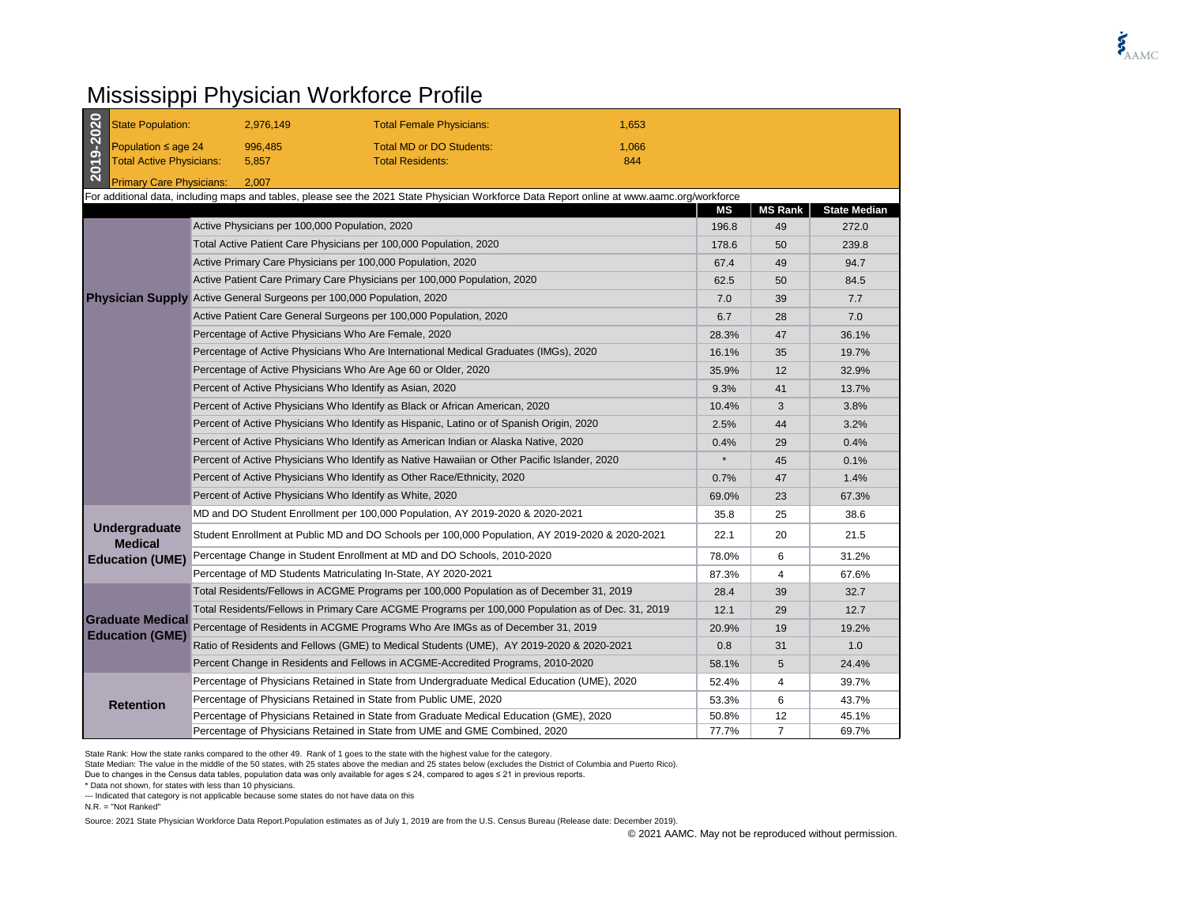## Mississippi Physician Workforce Profile

| 2019-2020                                                                                                                                  | <b>State Population:</b>                                                                 |                                                                                              | 2,976,149                                                                    | <b>Total Female Physicians:</b>                                                                   | 1,653 |         |                |                     |
|--------------------------------------------------------------------------------------------------------------------------------------------|------------------------------------------------------------------------------------------|----------------------------------------------------------------------------------------------|------------------------------------------------------------------------------|---------------------------------------------------------------------------------------------------|-------|---------|----------------|---------------------|
|                                                                                                                                            | Population $\leq$ age 24                                                                 |                                                                                              | 996.485                                                                      | <b>Total MD or DO Students:</b>                                                                   | 1.066 |         |                |                     |
|                                                                                                                                            | <b>Total Active Physicians:</b>                                                          |                                                                                              | 5,857                                                                        | <b>Total Residents:</b>                                                                           | 844   |         |                |                     |
|                                                                                                                                            | <b>Primary Care Physicians:</b><br>2,007                                                 |                                                                                              |                                                                              |                                                                                                   |       |         |                |                     |
| For additional data, including maps and tables, please see the 2021 State Physician Workforce Data Report online at www.aamc.org/workforce |                                                                                          |                                                                                              |                                                                              |                                                                                                   |       |         |                |                     |
|                                                                                                                                            |                                                                                          |                                                                                              |                                                                              |                                                                                                   |       | ΜS      | <b>MS Rank</b> | <b>State Median</b> |
|                                                                                                                                            |                                                                                          |                                                                                              |                                                                              | Active Physicians per 100,000 Population, 2020                                                    |       | 196.8   | 49             | 272.0               |
|                                                                                                                                            |                                                                                          | Total Active Patient Care Physicians per 100,000 Population, 2020                            |                                                                              |                                                                                                   | 178.6 | 50      | 239.8          |                     |
|                                                                                                                                            |                                                                                          | Active Primary Care Physicians per 100,000 Population, 2020                                  |                                                                              |                                                                                                   |       | 67.4    | 49             | 94.7                |
|                                                                                                                                            |                                                                                          |                                                                                              |                                                                              | Active Patient Care Primary Care Physicians per 100,000 Population, 2020                          |       | 62.5    | 50             | 84.5                |
|                                                                                                                                            |                                                                                          |                                                                                              |                                                                              | <b>Physician Supply</b> Active General Surgeons per 100,000 Population, 2020                      |       | 7.0     | 39             | 7.7                 |
|                                                                                                                                            |                                                                                          |                                                                                              |                                                                              | Active Patient Care General Surgeons per 100,000 Population, 2020                                 |       | 6.7     | 28             | 7.0                 |
|                                                                                                                                            |                                                                                          |                                                                                              |                                                                              | Percentage of Active Physicians Who Are Female, 2020                                              |       | 28.3%   | 47             | 36.1%               |
|                                                                                                                                            |                                                                                          |                                                                                              |                                                                              | Percentage of Active Physicians Who Are International Medical Graduates (IMGs), 2020              |       | 16.1%   | 35             | 19.7%               |
|                                                                                                                                            |                                                                                          |                                                                                              |                                                                              | Percentage of Active Physicians Who Are Age 60 or Older, 2020                                     |       | 35.9%   | 12             | 32.9%               |
|                                                                                                                                            |                                                                                          | Percent of Active Physicians Who Identify as Asian, 2020                                     |                                                                              |                                                                                                   | 9.3%  | 41      | 13.7%          |                     |
|                                                                                                                                            |                                                                                          |                                                                                              | Percent of Active Physicians Who Identify as Black or African American, 2020 |                                                                                                   |       | 10.4%   | 3              | 3.8%                |
|                                                                                                                                            | Percent of Active Physicians Who Identify as Hispanic, Latino or of Spanish Origin, 2020 |                                                                                              |                                                                              |                                                                                                   |       | 2.5%    | 44             | 3.2%                |
|                                                                                                                                            |                                                                                          | Percent of Active Physicians Who Identify as American Indian or Alaska Native, 2020          |                                                                              |                                                                                                   |       | 0.4%    | 29             | 0.4%                |
|                                                                                                                                            |                                                                                          | Percent of Active Physicians Who Identify as Native Hawaiian or Other Pacific Islander, 2020 |                                                                              |                                                                                                   |       | $\star$ | 45             | 0.1%                |
|                                                                                                                                            |                                                                                          | Percent of Active Physicians Who Identify as Other Race/Ethnicity, 2020                      |                                                                              |                                                                                                   | 0.7%  | 47      | 1.4%           |                     |
|                                                                                                                                            |                                                                                          | Percent of Active Physicians Who Identify as White, 2020                                     |                                                                              |                                                                                                   | 69.0% | 23      | 67.3%          |                     |
|                                                                                                                                            | Undergraduate<br><b>Medical</b><br><b>Education (UME)</b>                                |                                                                                              |                                                                              | MD and DO Student Enrollment per 100,000 Population, AY 2019-2020 & 2020-2021                     |       | 35.8    | 25             | 38.6                |
|                                                                                                                                            |                                                                                          |                                                                                              |                                                                              | Student Enrollment at Public MD and DO Schools per 100,000 Population, AY 2019-2020 & 2020-2021   |       | 22.1    | 20             | 21.5                |
|                                                                                                                                            |                                                                                          |                                                                                              |                                                                              | Percentage Change in Student Enrollment at MD and DO Schools, 2010-2020                           |       | 78.0%   | 6              | 31.2%               |
|                                                                                                                                            |                                                                                          |                                                                                              |                                                                              | Percentage of MD Students Matriculating In-State, AY 2020-2021                                    |       | 87.3%   | 4              | 67.6%               |
|                                                                                                                                            | <b>Graduate Medical</b><br><b>Education (GME)</b>                                        |                                                                                              |                                                                              | Total Residents/Fellows in ACGME Programs per 100,000 Population as of December 31, 2019          |       | 28.4    | 39             | 32.7                |
|                                                                                                                                            |                                                                                          |                                                                                              |                                                                              | Total Residents/Fellows in Primary Care ACGME Programs per 100,000 Population as of Dec. 31, 2019 |       | 12.1    | 29             | 12.7                |
|                                                                                                                                            |                                                                                          |                                                                                              |                                                                              | Percentage of Residents in ACGME Programs Who Are IMGs as of December 31, 2019                    |       | 20.9%   | 19             | 19.2%               |
|                                                                                                                                            |                                                                                          |                                                                                              |                                                                              | Ratio of Residents and Fellows (GME) to Medical Students (UME), AY 2019-2020 & 2020-2021          |       | 0.8     | 31             | 1.0                 |
|                                                                                                                                            |                                                                                          |                                                                                              |                                                                              | Percent Change in Residents and Fellows in ACGME-Accredited Programs, 2010-2020                   |       | 58.1%   | 5              | 24.4%               |
|                                                                                                                                            | <b>Retention</b>                                                                         |                                                                                              |                                                                              | Percentage of Physicians Retained in State from Undergraduate Medical Education (UME), 2020       |       | 52.4%   | 4              | 39.7%               |
|                                                                                                                                            |                                                                                          |                                                                                              |                                                                              | Percentage of Physicians Retained in State from Public UME, 2020                                  |       | 53.3%   | 6              | 43.7%               |
|                                                                                                                                            |                                                                                          |                                                                                              |                                                                              | Percentage of Physicians Retained in State from Graduate Medical Education (GME), 2020            |       | 50.8%   | 12             | 45.1%               |
|                                                                                                                                            |                                                                                          |                                                                                              |                                                                              | Percentage of Physicians Retained in State from UME and GME Combined, 2020                        |       | 77.7%   | 7              | 69.7%               |

State Rank: How the state ranks compared to the other 49. Rank of 1 goes to the state with the highest value for the category.

State Median: The value in the middle of the 50 states, with 25 states above the median and 25 states below (excludes the District of Columbia and Puerto Rico).

Due to changes in the Census data tables, population data was only available for ages ≤ 24, compared to ages ≤ 21 in previous reports.

\* Data not shown, for states with less than 10 physicians.

--- Indicated that category is not applicable because some states do not have data on this

N.R. = "Not Ranked"

Source: 2021 State Physician Workforce Data Report.Population estimates as of July 1, 2019 are from the U.S. Census Bureau (Release date: December 2019).

© 2021 AAMC. May not be reproduced without permission.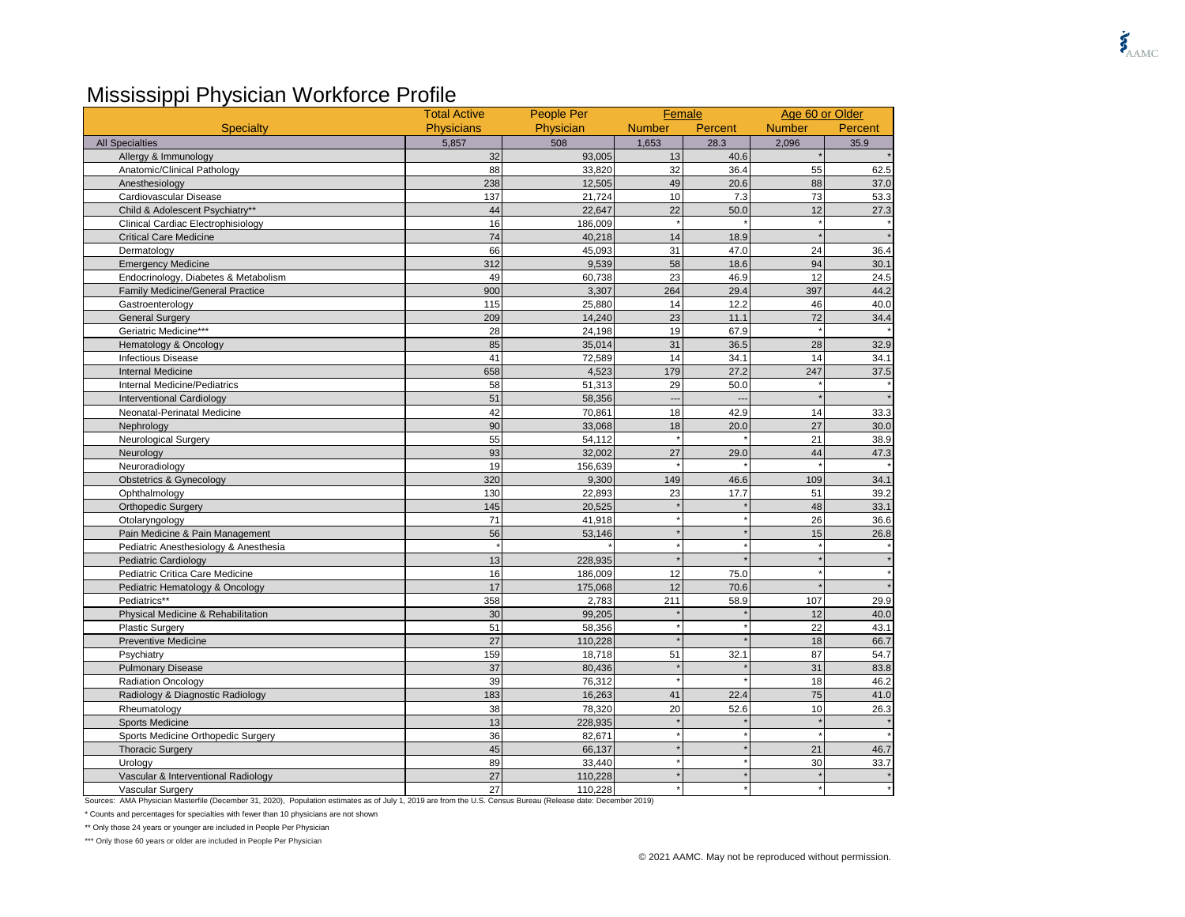## Mississippi Physician Workforce Profile

|                                         | <b>Total Active</b> | People Per | Female                   |         |               | Age 60 or Older |  |
|-----------------------------------------|---------------------|------------|--------------------------|---------|---------------|-----------------|--|
| <b>Specialty</b>                        | <b>Physicians</b>   | Physician  | <b>Number</b>            | Percent | <b>Number</b> | Percent         |  |
| <b>All Specialties</b>                  | 5,857               | 508        | 1,653                    | 28.3    | 2,096         | 35.9            |  |
| Allergy & Immunology                    | 32                  | 93,005     | 13                       | 40.6    |               |                 |  |
| Anatomic/Clinical Pathology             | 88                  | 33,820     | 32                       | 36.4    | 55            | 62.5            |  |
| Anesthesiology                          | 238                 | 12,505     | 49                       | 20.6    | 88            | 37.0            |  |
| Cardiovascular Disease                  | 137                 | 21,724     | 10                       | 7.3     | 73            | 53.3            |  |
| Child & Adolescent Psychiatry**         | 44                  | 22,647     | 22                       | 50.0    | 12            | 27.3            |  |
| Clinical Cardiac Electrophisiology      | 16                  | 186,009    |                          |         |               |                 |  |
| <b>Critical Care Medicine</b>           | 74                  | 40,218     | 14                       | 18.9    |               |                 |  |
| Dermatology                             | 66                  | 45,093     | 31                       | 47.0    | 24            | 36.4            |  |
| <b>Emergency Medicine</b>               | 312                 | 9,539      | 58                       | 18.6    | 94            | 30.1            |  |
| Endocrinology, Diabetes & Metabolism    | 49                  | 60,738     | 23                       | 46.9    | 12            | 24.5            |  |
| <b>Family Medicine/General Practice</b> | 900                 | 3,307      | 264                      | 29.4    | 397           | 44.2            |  |
| Gastroenterology                        | 115                 | 25,880     | 14                       | 12.2    | 46            | 40.0            |  |
| <b>General Surgery</b>                  | 209                 | 14,240     | 23                       | 11.1    | 72            | 34.4            |  |
| Geriatric Medicine***                   | 28                  | 24,198     | 19                       | 67.9    |               |                 |  |
| Hematology & Oncology                   | 85                  | 35,014     | 31                       | 36.5    | 28            | 32.9            |  |
| <b>Infectious Disease</b>               | 41                  | 72,589     | 14                       | 34.1    | 14            | 34.1            |  |
| <b>Internal Medicine</b>                | 658                 | 4,523      | 179                      | 27.2    | 247           | 37.5            |  |
| Internal Medicine/Pediatrics            | 58                  | 51,313     | 29                       | 50.0    |               |                 |  |
| <b>Interventional Cardiology</b>        | 51                  | 58,356     | $\overline{\phantom{a}}$ |         |               |                 |  |
| Neonatal-Perinatal Medicine             | 42                  | 70,861     | 18                       | 42.9    | 14            | 33.3            |  |
| Nephrology                              | 90                  | 33,068     | 18                       | 20.0    | 27            | 30.0            |  |
| <b>Neurological Surgery</b>             | 55                  | 54,112     |                          |         | 21            | 38.9            |  |
| Neurology                               | 93                  | 32,002     | 27                       | 29.0    | 44            | 47.3            |  |
| Neuroradiology                          | 19                  | 156,639    |                          |         |               |                 |  |
| <b>Obstetrics &amp; Gynecology</b>      | 320                 | 9,300      | 149                      | 46.6    | 109           | 34.1            |  |
| Ophthalmology                           | 130                 | 22,893     | 23                       | 17.7    | 51            | 39.2            |  |
| <b>Orthopedic Surgery</b>               | 145                 | 20,525     |                          |         | 48            | 33.1            |  |
| Otolaryngology                          | 71                  | 41,918     |                          |         | 26            | 36.6            |  |
| Pain Medicine & Pain Management         | 56                  | 53,146     |                          |         | 15            | 26.8            |  |
| Pediatric Anesthesiology & Anesthesia   |                     |            |                          |         |               |                 |  |
| <b>Pediatric Cardiology</b>             | 13                  | 228,935    |                          |         |               |                 |  |
| Pediatric Critica Care Medicine         | 16                  | 186,009    | 12                       | 75.0    |               |                 |  |
| Pediatric Hematology & Oncology         | 17                  | 175,068    | 12                       | 70.6    |               |                 |  |
| Pediatrics**                            | 358                 | 2,783      | 211                      | 58.9    | 107           | 29.9            |  |
| Physical Medicine & Rehabilitation      | 30                  | 99,205     |                          |         | 12            | 40.0            |  |
| <b>Plastic Surgery</b>                  | 51                  | 58,356     |                          |         | 22            | 43.1            |  |
| <b>Preventive Medicine</b>              | 27                  | 110,228    |                          |         | 18            | 66.7            |  |
| Psychiatry                              | 159                 | 18,718     | 51                       | 32.1    | 87            | 54.7            |  |
| <b>Pulmonary Disease</b>                | 37                  | 80,436     |                          |         | 31            | 83.8            |  |
| <b>Radiation Oncology</b>               | 39                  | 76,312     |                          |         | 18            | 46.2            |  |
| Radiology & Diagnostic Radiology        | 183                 | 16,263     | 41                       | 22.4    | 75            | 41.0            |  |
| Rheumatology                            | 38                  | 78,320     | 20                       | 52.6    | 10            | 26.3            |  |
| <b>Sports Medicine</b>                  | 13                  | 228,935    |                          |         |               |                 |  |
| Sports Medicine Orthopedic Surgery      | 36                  | 82,671     |                          |         |               |                 |  |
| <b>Thoracic Surgery</b>                 | 45                  | 66,137     |                          |         | 21            | 46.7            |  |
| Urology                                 | 89                  | 33,440     |                          |         | 30            | 33.7            |  |
| Vascular & Interventional Radiology     | 27                  | 110,228    |                          |         |               |                 |  |
| Vascular Surgery                        | 27                  | 110,228    |                          |         |               |                 |  |

Sources: AMA Physician Masterfile (December 31, 2020), Population estimates as of July 1, 2019 are from the U.S. Census Bureau (Release date: December 2019)

\* Counts and percentages for specialties with fewer than 10 physicians are not shown

\*\* Only those 24 years or younger are included in People Per Physician

\*\*\* Only those 60 years or older are included in People Per Physician